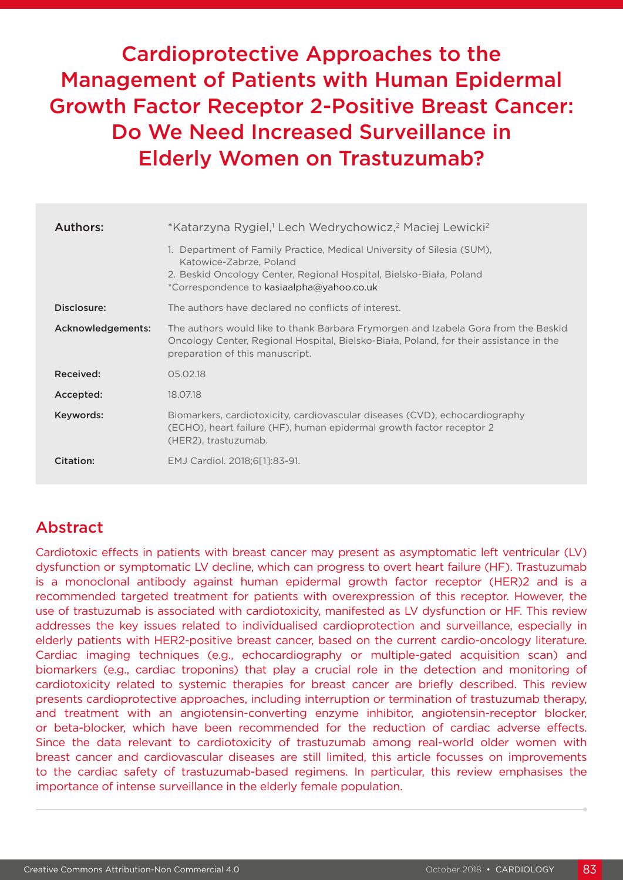Cardioprotective Approaches to the Management of Patients with Human Epidermal Growth Factor Receptor 2-Positive Breast Cancer: Do We Need Increased Surveillance in Elderly Women on Trastuzumab?

| Authors:          | *Katarzyna Rygiel, <sup>1</sup> Lech Wedrychowicz, <sup>2</sup> Maciej Lewicki <sup>2</sup>                                                                                                                           |  |  |  |
|-------------------|-----------------------------------------------------------------------------------------------------------------------------------------------------------------------------------------------------------------------|--|--|--|
|                   | 1. Department of Family Practice, Medical University of Silesia (SUM),<br>Katowice-Zabrze, Poland<br>2. Beskid Oncology Center, Regional Hospital, Bielsko-Biała, Poland<br>*Correspondence to kasiaalpha@yahoo.co.uk |  |  |  |
| Disclosure:       | The authors have declared no conflicts of interest.                                                                                                                                                                   |  |  |  |
| Acknowledgements: | The authors would like to thank Barbara Frymorgen and Izabela Gora from the Beskid<br>Oncology Center, Regional Hospital, Bielsko-Biała, Poland, for their assistance in the<br>preparation of this manuscript.       |  |  |  |
| Received:         | 05.02.18                                                                                                                                                                                                              |  |  |  |
| Accepted:         | 18.07.18                                                                                                                                                                                                              |  |  |  |
| Keywords:         | Biomarkers, cardiotoxicity, cardiovascular diseases (CVD), echocardiography<br>(ECHO), heart failure (HF), human epidermal growth factor receptor 2<br>(HER2), trastuzumab.                                           |  |  |  |
| Citation:         | EMJ Cardiol. 2018;6[1]:83-91.                                                                                                                                                                                         |  |  |  |

# Abstract

Cardiotoxic effects in patients with breast cancer may present as asymptomatic left ventricular (LV) dysfunction or symptomatic LV decline, which can progress to overt heart failure (HF). Trastuzumab is a monoclonal antibody against human epidermal growth factor receptor (HER)2 and is a recommended targeted treatment for patients with overexpression of this receptor. However, the use of trastuzumab is associated with cardiotoxicity, manifested as LV dysfunction or HF. This review addresses the key issues related to individualised cardioprotection and surveillance, especially in elderly patients with HER2-positive breast cancer, based on the current cardio-oncology literature. Cardiac imaging techniques (e.g., echocardiography or multiple-gated acquisition scan) and biomarkers (e.g., cardiac troponins) that play a crucial role in the detection and monitoring of cardiotoxicity related to systemic therapies for breast cancer are briefly described. This review presents cardioprotective approaches, including interruption or termination of trastuzumab therapy, and treatment with an angiotensin-converting enzyme inhibitor, angiotensin-receptor blocker, or beta-blocker, which have been recommended for the reduction of cardiac adverse effects. Since the data relevant to cardiotoxicity of trastuzumab among real-world older women with breast cancer and cardiovascular diseases are still limited, this article focusses on improvements to the cardiac safety of trastuzumab-based regimens. In particular, this review emphasises the importance of intense surveillance in the elderly female population.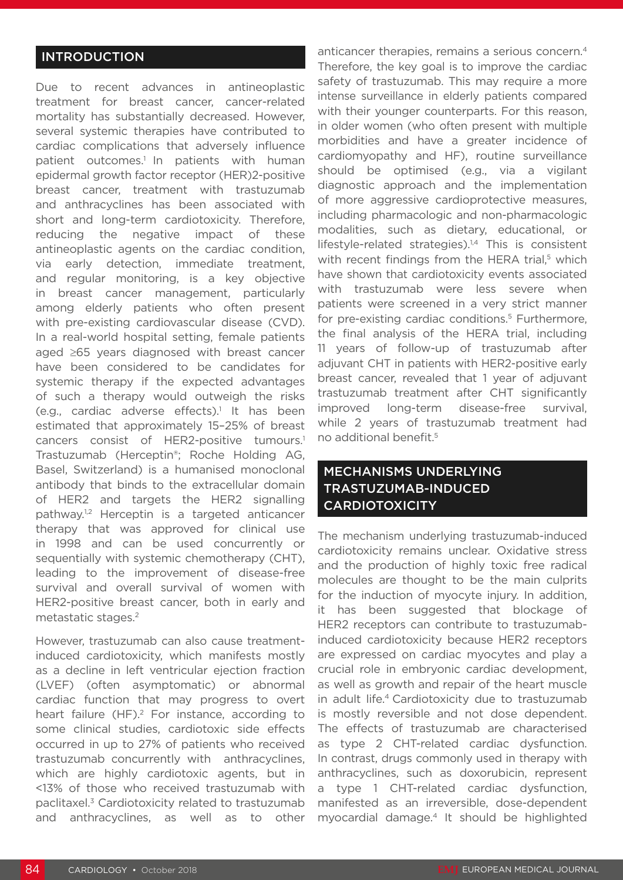#### INTRODUCTION

Due to recent advances in antineoplastic treatment for breast cancer, cancer-related mortality has substantially decreased. However, several systemic therapies have contributed to cardiac complications that adversely influence patient outcomes.<sup>1</sup> In patients with human epidermal growth factor receptor (HER)2-positive breast cancer, treatment with trastuzumab and anthracyclines has been associated with short and long-term cardiotoxicity. Therefore, reducing the negative impact of these antineoplastic agents on the cardiac condition, via early detection, immediate treatment, and regular monitoring, is a key objective in breast cancer management, particularly among elderly patients who often present with pre-existing cardiovascular disease (CVD). In a real-world hospital setting, female patients aged ≥65 years diagnosed with breast cancer have been considered to be candidates for systemic therapy if the expected advantages of such a therapy would outweigh the risks (e.g., cardiac adverse effects).<sup>1</sup> It has been estimated that approximately 15–25% of breast cancers consist of HER2-positive tumours.<sup>1</sup> Trastuzumab (Herceptin®; Roche Holding AG, Basel, Switzerland) is a humanised monoclonal antibody that binds to the extracellular domain of HER2 and targets the HER2 signalling pathway.1,2 Herceptin is a targeted anticancer therapy that was approved for clinical use in 1998 and can be used concurrently or sequentially with systemic chemotherapy (CHT), leading to the improvement of disease-free survival and overall survival of women with HER2-positive breast cancer, both in early and metastatic stages.2

However, trastuzumab can also cause treatmentinduced cardiotoxicity, which manifests mostly as a decline in left ventricular ejection fraction (LVEF) (often asymptomatic) or abnormal cardiac function that may progress to overt heart failure (HF).<sup>2</sup> For instance, according to some clinical studies, cardiotoxic side effects occurred in up to 27% of patients who received trastuzumab concurrently with anthracyclines, which are highly cardiotoxic agents, but in <13% of those who received trastuzumab with paclitaxel.3 Cardiotoxicity related to trastuzumab and anthracyclines, as well as to other

anticancer therapies, remains a serious concern.4 Therefore, the key goal is to improve the cardiac safety of trastuzumab. This may require a more intense surveillance in elderly patients compared with their younger counterparts. For this reason, in older women (who often present with multiple morbidities and have a greater incidence of cardiomyopathy and HF), routine surveillance should be optimised (e.g., via a vigilant diagnostic approach and the implementation of more aggressive cardioprotective measures, including pharmacologic and non-pharmacologic modalities, such as dietary, educational, or lifestyle-related strategies). $1,4$  This is consistent with recent findings from the HERA trial,<sup>5</sup> which have shown that cardiotoxicity events associated with trastuzumab were less severe when patients were screened in a very strict manner for pre-existing cardiac conditions.<sup>5</sup> Furthermore, the final analysis of the HERA trial, including 11 years of follow-up of trastuzumab after adjuvant CHT in patients with HER2-positive early breast cancer, revealed that 1 year of adjuvant trastuzumab treatment after CHT significantly improved long-term disease-free survival, while 2 years of trastuzumab treatment had no additional benefit.5

### MECHANISMS UNDERLYING TRASTUZUMAB-INDUCED **CARDIOTOXICITY**

The mechanism underlying trastuzumab-induced cardiotoxicity remains unclear. Oxidative stress and the production of highly toxic free radical molecules are thought to be the main culprits for the induction of myocyte injury. In addition, it has been suggested that blockage of HER2 receptors can contribute to trastuzumabinduced cardiotoxicity because HER2 receptors are expressed on cardiac myocytes and play a crucial role in embryonic cardiac development, as well as growth and repair of the heart muscle in adult life.<sup>4</sup> Cardiotoxicity due to trastuzumab is mostly reversible and not dose dependent. The effects of trastuzumab are characterised as type 2 CHT-related cardiac dysfunction. In contrast, drugs commonly used in therapy with anthracyclines, such as doxorubicin, represent a type 1 CHT-related cardiac dysfunction, manifested as an irreversible, dose-dependent myocardial damage.4 It should be highlighted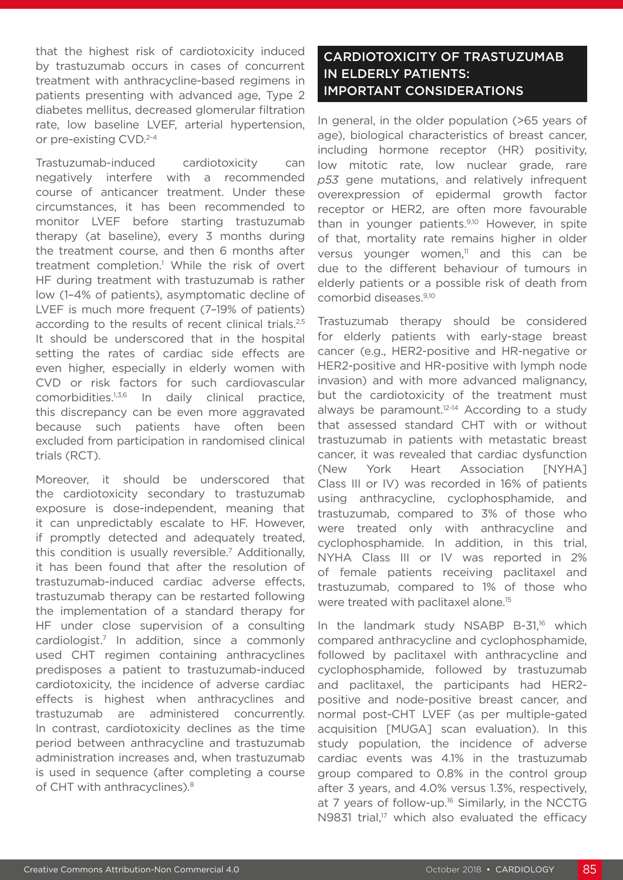that the highest risk of cardiotoxicity induced by trastuzumab occurs in cases of concurrent treatment with anthracycline-based regimens in patients presenting with advanced age, Type 2 diabetes mellitus, decreased glomerular filtration rate, low baseline LVEF, arterial hypertension, or pre-existing CVD.<sup>2-4</sup>

Trastuzumab-induced cardiotoxicity can negatively interfere with a recommended course of anticancer treatment. Under these circumstances, it has been recommended to monitor LVEF before starting trastuzumab therapy (at baseline), every 3 months during the treatment course, and then 6 months after treatment completion.<sup>1</sup> While the risk of overt HF during treatment with trastuzumab is rather low (1–4% of patients), asymptomatic decline of LVEF is much more frequent (7–19% of patients) according to the results of recent clinical trials.<sup>2,5</sup> It should be underscored that in the hospital setting the rates of cardiac side effects are even higher, especially in elderly women with CVD or risk factors for such cardiovascular comorbidities.1,3,6 In daily clinical practice, this discrepancy can be even more aggravated because such patients have often been excluded from participation in randomised clinical trials (RCT).

Moreover, it should be underscored that the cardiotoxicity secondary to trastuzumab exposure is dose-independent, meaning that it can unpredictably escalate to HF. However, if promptly detected and adequately treated, this condition is usually reversible.7 Additionally, it has been found that after the resolution of trastuzumab-induced cardiac adverse effects, trastuzumab therapy can be restarted following the implementation of a standard therapy for HF under close supervision of a consulting cardiologist.7 In addition, since a commonly used CHT regimen containing anthracyclines predisposes a patient to trastuzumab-induced cardiotoxicity, the incidence of adverse cardiac effects is highest when anthracyclines and trastuzumab are administered concurrently. In contrast, cardiotoxicity declines as the time period between anthracycline and trastuzumab administration increases and, when trastuzumab is used in sequence (after completing a course of CHT with anthracyclines).<sup>8</sup>

# CARDIOTOXICITY OF TRASTUZUMAB IN ELDERLY PATIENTS: IMPORTANT CONSIDERATIONS

In general, in the older population (>65 years of age), biological characteristics of breast cancer, including hormone receptor (HR) positivity, low mitotic rate, low nuclear grade, rare *p53* gene mutations, and relatively infrequent overexpression of epidermal growth factor receptor or HER2, are often more favourable than in younger patients.<sup>9,10</sup> However, in spite of that, mortality rate remains higher in older versus younger women, $11$  and this can be due to the different behaviour of tumours in elderly patients or a possible risk of death from comorbid diseases.9,10

Trastuzumab therapy should be considered for elderly patients with early-stage breast cancer (e.g., HER2-positive and HR-negative or HER2-positive and HR-positive with lymph node invasion) and with more advanced malignancy, but the cardiotoxicity of the treatment must always be paramount.<sup>12-14</sup> According to a study that assessed standard CHT with or without trastuzumab in patients with metastatic breast cancer, it was revealed that cardiac dysfunction (New York Heart Association [NYHA] Class III or IV) was recorded in 16% of patients using anthracycline, cyclophosphamide, and trastuzumab, compared to 3% of those who were treated only with anthracycline and cyclophosphamide. In addition, in this trial, NYHA Class III or IV was reported in 2% of female patients receiving paclitaxel and trastuzumab, compared to 1% of those who were treated with paclitaxel alone.<sup>15</sup>

In the landmark study NSABP B-31,<sup>16</sup> which compared anthracycline and cyclophosphamide, followed by paclitaxel with anthracycline and cyclophosphamide, followed by trastuzumab and paclitaxel, the participants had HER2 positive and node-positive breast cancer, and normal post-CHT LVEF (as per multiple-gated acquisition [MUGA] scan evaluation). In this study population, the incidence of adverse cardiac events was 4.1% in the trastuzumab group compared to 0.8% in the control group after 3 years, and 4.0% versus 1.3%, respectively, at 7 years of follow-up.<sup>16</sup> Similarly, in the NCCTG N9831 trial, $17$  which also evaluated the efficacy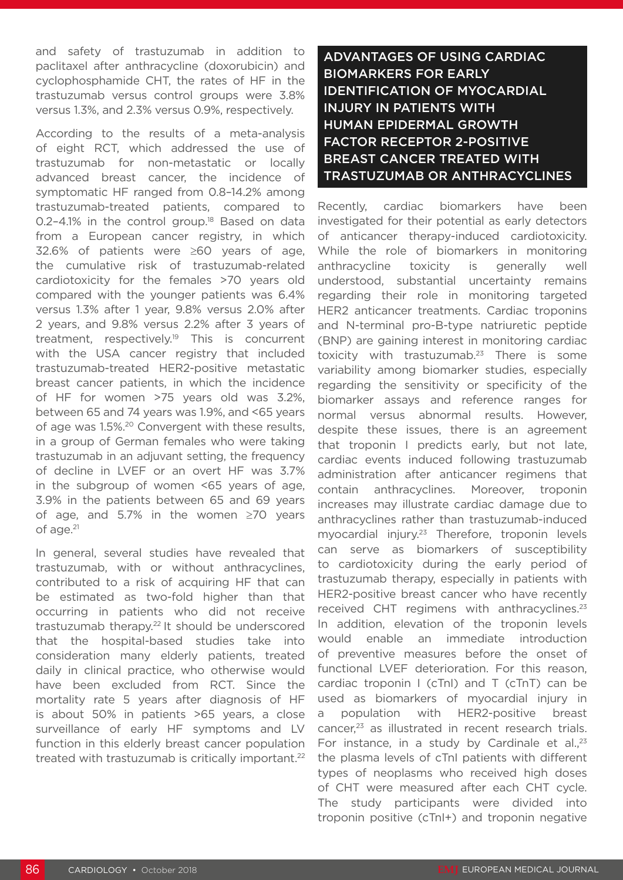and safety of trastuzumab in addition to paclitaxel after anthracycline (doxorubicin) and cyclophosphamide CHT, the rates of HF in the trastuzumab versus control groups were 3.8% versus 1.3%, and 2.3% versus 0.9%, respectively.

According to the results of a meta-analysis of eight RCT, which addressed the use of trastuzumab for non-metastatic or locally advanced breast cancer, the incidence of symptomatic HF ranged from 0.8–14.2% among trastuzumab-treated patients, compared to 0.2-4.1% in the control group.<sup>18</sup> Based on data from a European cancer registry, in which 32.6% of patients were ≥60 years of age, the cumulative risk of trastuzumab-related cardiotoxicity for the females >70 years old compared with the younger patients was 6.4% versus 1.3% after 1 year, 9.8% versus 2.0% after 2 years, and 9.8% versus 2.2% after 3 years of treatment, respectively.19 This is concurrent with the USA cancer registry that included trastuzumab-treated HER2-positive metastatic breast cancer patients, in which the incidence of HF for women >75 years old was 3.2%, between 65 and 74 years was 1.9%, and <65 years of age was 1.5%.<sup>20</sup> Convergent with these results, in a group of German females who were taking trastuzumab in an adjuvant setting, the frequency of decline in LVEF or an overt HF was 3.7% in the subgroup of women <65 years of age, 3.9% in the patients between 65 and 69 years of age, and 5.7% in the women ≥70 years of age.<sup>21</sup>

In general, several studies have revealed that trastuzumab, with or without anthracyclines, contributed to a risk of acquiring HF that can be estimated as two-fold higher than that occurring in patients who did not receive trastuzumab therapy.<sup>22</sup> It should be underscored that the hospital-based studies take into consideration many elderly patients, treated daily in clinical practice, who otherwise would have been excluded from RCT. Since the mortality rate 5 years after diagnosis of HF is about 50% in patients >65 years, a close surveillance of early HF symptoms and LV function in this elderly breast cancer population treated with trastuzumab is critically important.<sup>22</sup>

ADVANTAGES OF USING CARDIAC BIOMARKERS FOR EARLY IDENTIFICATION OF MYOCARDIAL INJURY IN PATIENTS WITH HUMAN EPIDERMAL GROWTH FACTOR RECEPTOR 2-POSITIVE BREAST CANCER TREATED WITH TRASTUZUMAB OR ANTHRACYCLINES

Recently, cardiac biomarkers have been investigated for their potential as early detectors of anticancer therapy-induced cardiotoxicity. While the role of biomarkers in monitoring anthracycline toxicity is generally well understood, substantial uncertainty remains regarding their role in monitoring targeted HER2 anticancer treatments. Cardiac troponins and N-terminal pro-B-type natriuretic peptide (BNP) are gaining interest in monitoring cardiac toxicity with trastuzumab.<sup>23</sup> There is some variability among biomarker studies, especially regarding the sensitivity or specificity of the biomarker assays and reference ranges for normal versus abnormal results. However, despite these issues, there is an agreement that troponin I predicts early, but not late, cardiac events induced following trastuzumab administration after anticancer regimens that contain anthracyclines. Moreover, troponin increases may illustrate cardiac damage due to anthracyclines rather than trastuzumab-induced myocardial injury.23 Therefore, troponin levels can serve as biomarkers of susceptibility to cardiotoxicity during the early period of trastuzumab therapy, especially in patients with HER2-positive breast cancer who have recently received CHT regimens with anthracyclines.<sup>23</sup> In addition, elevation of the troponin levels would enable an immediate introduction of preventive measures before the onset of functional LVEF deterioration. For this reason, cardiac troponin I (cTnI) and T (cTnT) can be used as biomarkers of myocardial injury in a population with HER2-positive breast cancer,23 as illustrated in recent research trials. For instance, in a study by Cardinale et al., $23$ the plasma levels of cTnI patients with different types of neoplasms who received high doses of CHT were measured after each CHT cycle. The study participants were divided into troponin positive (cTnI+) and troponin negative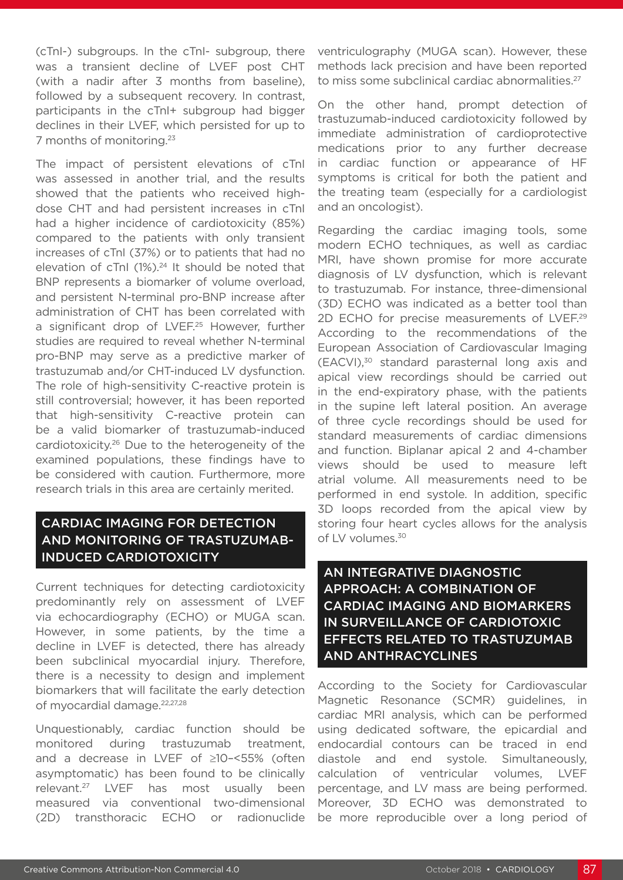(cTnI-) subgroups. In the cTnI- subgroup, there was a transient decline of LVEF post CHT (with a nadir after 3 months from baseline), followed by a subsequent recovery. In contrast, participants in the cTnI+ subgroup had bigger declines in their LVEF, which persisted for up to 7 months of monitoring.23

The impact of persistent elevations of cTnI was assessed in another trial, and the results showed that the patients who received highdose CHT and had persistent increases in cTnI had a higher incidence of cardiotoxicity (85%) compared to the patients with only transient increases of cTnI (37%) or to patients that had no elevation of  $cTnI$  (1%).<sup>24</sup> It should be noted that BNP represents a biomarker of volume overload, and persistent N-terminal pro-BNP increase after administration of CHT has been correlated with a significant drop of LVEF.<sup>25</sup> However, further studies are required to reveal whether N-terminal pro-BNP may serve as a predictive marker of trastuzumab and/or CHT-induced LV dysfunction. The role of high-sensitivity C-reactive protein is still controversial; however, it has been reported that high-sensitivity C-reactive protein can be a valid biomarker of trastuzumab-induced cardiotoxicity.26 Due to the heterogeneity of the examined populations, these findings have to be considered with caution. Furthermore, more research trials in this area are certainly merited.

### CARDIAC IMAGING FOR DETECTION AND MONITORING OF TRASTUZUMAB-INDUCED CARDIOTOXICITY

Current techniques for detecting cardiotoxicity predominantly rely on assessment of LVEF via echocardiography (ECHO) or MUGA scan. However, in some patients, by the time a decline in LVEF is detected, there has already been subclinical myocardial injury. Therefore, there is a necessity to design and implement biomarkers that will facilitate the early detection of myocardial damage.<sup>22,27,28</sup>

Unquestionably, cardiac function should be monitored during trastuzumab treatment, and a decrease in LVEF of ≥10–<55% (often asymptomatic) has been found to be clinically relevant.27 LVEF has most usually been measured via conventional two-dimensional (2D) transthoracic ECHO or radionuclide

ventriculography (MUGA scan). However, these methods lack precision and have been reported to miss some subclinical cardiac abnormalities.<sup>27</sup>

On the other hand, prompt detection of trastuzumab-induced cardiotoxicity followed by immediate administration of cardioprotective medications prior to any further decrease in cardiac function or appearance of HF symptoms is critical for both the patient and the treating team (especially for a cardiologist and an oncologist).

Regarding the cardiac imaging tools, some modern ECHO techniques, as well as cardiac MRI, have shown promise for more accurate diagnosis of LV dysfunction, which is relevant to trastuzumab. For instance, three-dimensional (3D) ECHO was indicated as a better tool than 2D ECHO for precise measurements of LVEF.<sup>29</sup> According to the recommendations of the European Association of Cardiovascular Imaging (EACVI),30 standard parasternal long axis and apical view recordings should be carried out in the end-expiratory phase, with the patients in the supine left lateral position. An average of three cycle recordings should be used for standard measurements of cardiac dimensions and function. Biplanar apical 2 and 4-chamber views should be used to measure left atrial volume. All measurements need to be performed in end systole. In addition, specific 3D loops recorded from the apical view by storing four heart cycles allows for the analysis of LV volumes.<sup>30</sup>

AN INTEGRATIVE DIAGNOSTIC APPROACH: A COMBINATION OF CARDIAC IMAGING AND BIOMARKERS IN SURVEILLANCE OF CARDIOTOXIC EFFECTS RELATED TO TRASTUZUMAB AND ANTHRACYCLINES

According to the Society for Cardiovascular Magnetic Resonance (SCMR) guidelines, in cardiac MRI analysis, which can be performed using dedicated software, the epicardial and endocardial contours can be traced in end diastole and end systole. Simultaneously, calculation of ventricular volumes, LVEF percentage, and LV mass are being performed. Moreover, 3D ECHO was demonstrated to be more reproducible over a long period of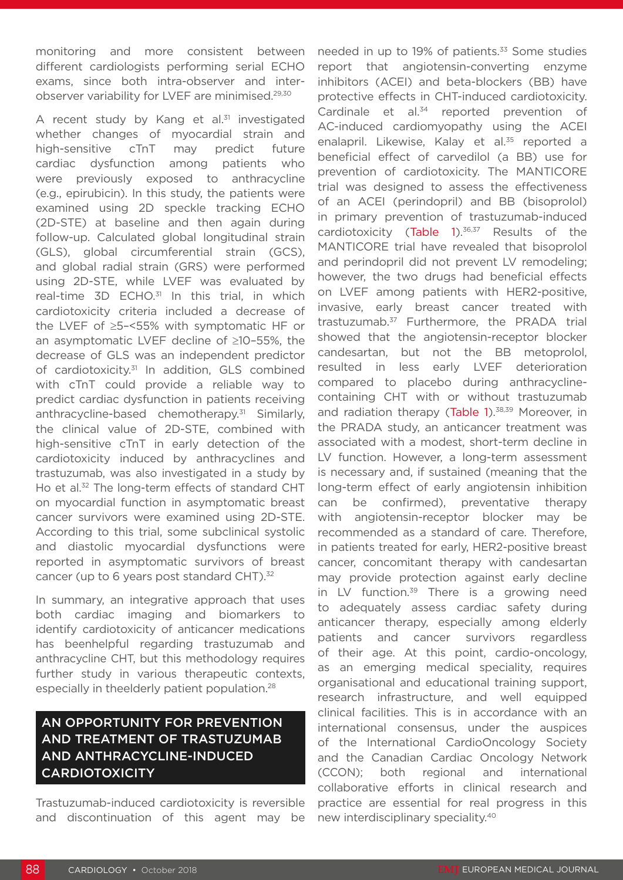monitoring and more consistent between different cardiologists performing serial ECHO exams, since both intra-observer and interobserver variability for LVEF are minimised.29,30

A recent study by Kang et al.<sup>31</sup> investigated whether changes of myocardial strain and high-sensitive cTnT may predict future cardiac dysfunction among patients who were previously exposed to anthracycline (e.g., epirubicin). In this study, the patients were examined using 2D speckle tracking ECHO (2D-STE) at baseline and then again during follow-up. Calculated global longitudinal strain (GLS), global circumferential strain (GCS), and global radial strain (GRS) were performed using 2D-STE, while LVEF was evaluated by real-time  $3D$  ECHO.<sup>31</sup> In this trial, in which cardiotoxicity criteria included a decrease of the LVEF of ≥5–<55% with symptomatic HF or an asymptomatic LVEF decline of ≥10–55%, the decrease of GLS was an independent predictor of cardiotoxicity.<sup>31</sup> In addition, GLS combined with cTnT could provide a reliable way to predict cardiac dysfunction in patients receiving anthracycline-based chemotherapy.31 Similarly, the clinical value of 2D-STE, combined with high-sensitive cTnT in early detection of the cardiotoxicity induced by anthracyclines and trastuzumab, was also investigated in a study by Ho et al.<sup>32</sup> The long-term effects of standard CHT on myocardial function in asymptomatic breast cancer survivors were examined using 2D-STE. According to this trial, some subclinical systolic and diastolic myocardial dysfunctions were reported in asymptomatic survivors of breast cancer (up to 6 years post standard CHT).<sup>32</sup>

In summary, an integrative approach that uses both cardiac imaging and biomarkers to identify cardiotoxicity of anticancer medications has beenhelpful regarding trastuzumab and anthracycline CHT, but this methodology requires further study in various therapeutic contexts, especially in theelderly patient population.28

# AN OPPORTUNITY FOR PREVENTION AND TREATMENT OF TRASTUZUMAB AND ANTHRACYCLINE-INDUCED CARDIOTOXICITY

Trastuzumab-induced cardiotoxicity is reversible and discontinuation of this agent may be

needed in up to 19% of patients.<sup>33</sup> Some studies report that angiotensin-converting enzyme inhibitors (ACEI) and beta-blockers (BB) have protective effects in CHT-induced cardiotoxicity. Cardinale et al.<sup>34</sup> reported prevention of AC-induced cardiomyopathy using the ACEI enalapril. Likewise, Kalay et al.<sup>35</sup> reported a beneficial effect of carvedilol (a BB) use for prevention of cardiotoxicity. The MANTICORE trial was designed to assess the effectiveness of an ACEI (perindopril) and BB (bisoprolol) in primary prevention of trastuzumab-induced cardiotoxicity (Table  $1$ ).<sup>36,37</sup> Results of the MANTICORE trial have revealed that bisoprolol and perindopril did not prevent LV remodeling; however, the two drugs had beneficial effects on LVEF among patients with HER2-positive, invasive, early breast cancer treated with trastuzumab.37 Furthermore, the PRADA trial showed that the angiotensin-receptor blocker candesartan, but not the BB metoprolol, resulted in less early LVEF deterioration compared to placebo during anthracyclinecontaining CHT with or without trastuzumab and radiation therapy (Table 1).<sup>38,39</sup> Moreover, in the PRADA study, an anticancer treatment was associated with a modest, short-term decline in LV function. However, a long-term assessment is necessary and, if sustained (meaning that the long-term effect of early angiotensin inhibition can be confirmed), preventative therapy with angiotensin-receptor blocker may be recommended as a standard of care. Therefore, in patients treated for early, HER2-positive breast cancer, concomitant therapy with candesartan may provide protection against early decline in LV function. $39$  There is a growing need to adequately assess cardiac safety during anticancer therapy, especially among elderly patients and cancer survivors regardless of their age. At this point, cardio-oncology, as an emerging medical speciality, requires organisational and educational training support, research infrastructure, and well equipped clinical facilities. This is in accordance with an international consensus, under the auspices of the International CardioOncology Society and the Canadian Cardiac Oncology Network (CCON); both regional and international collaborative efforts in clinical research and practice are essential for real progress in this new interdisciplinary speciality.40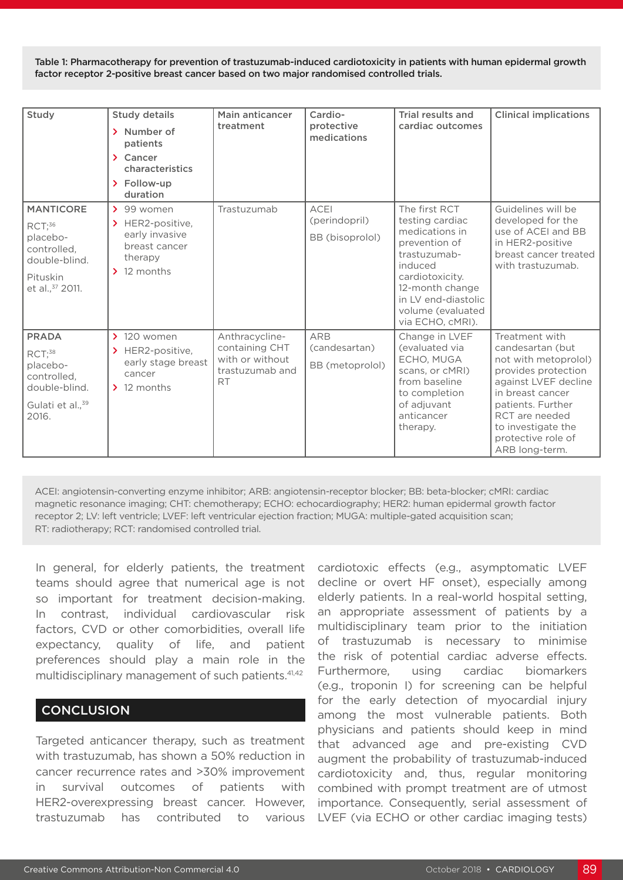Table 1: Pharmacotherapy for prevention of trastuzumab-induced cardiotoxicity in patients with human epidermal growth factor receptor 2-positive breast cancer based on two major randomised controlled trials.

| Study                                                                                                              | <b>Study details</b><br>> Number of<br>patients<br>$\sum$ Cancer<br>characteristics<br>> Follow-up<br>duration            | Main anticancer<br>treatment                                                        | Cardio-<br>protective<br>medications            | Trial results and<br>cardiac outcomes                                                                                                                                                                | <b>Clinical implications</b>                                                                                                                                                                                                       |
|--------------------------------------------------------------------------------------------------------------------|---------------------------------------------------------------------------------------------------------------------------|-------------------------------------------------------------------------------------|-------------------------------------------------|------------------------------------------------------------------------------------------------------------------------------------------------------------------------------------------------------|------------------------------------------------------------------------------------------------------------------------------------------------------------------------------------------------------------------------------------|
| <b>MANTICORE</b><br>RCT; <sup>36</sup><br>placebo-<br>controlled,<br>double-blind.<br>Pituskin<br>et al., 37 2011. | $\geq 99$ women<br>$\blacktriangleright$ HER2-positive,<br>early invasive<br>breast cancer<br>therapy<br>$\geq$ 12 months | Trastuzumab                                                                         | <b>ACEI</b><br>(perindopril)<br>BB (bisoprolol) | The first RCT<br>testing cardiac<br>medications in<br>prevention of<br>trastuzumab-<br>induced<br>cardiotoxicity.<br>12-month change<br>in LV end-diastolic<br>volume (evaluated<br>via ECHO, cMRI). | Guidelines will be<br>developed for the<br>use of ACEI and BB<br>in HER2-positive<br>breast cancer treated<br>with trastuzumab.                                                                                                    |
| <b>PRADA</b><br>RCT <sup>38</sup><br>placebo-<br>controlled,<br>double-blind.<br>Gulati et al., 39<br>2016.        | $\geq$ 120 women<br>$\blacktriangleright$ HER2-positive,<br>early stage breast<br>cancer<br>$\geq$ 12 months              | Anthracycline-<br>containing CHT<br>with or without<br>trastuzumab and<br><b>RT</b> | <b>ARB</b><br>(candesartan)<br>BB (metoprolol)  | Change in LVEF<br>(evaluated via<br>ECHO, MUGA<br>scans, or cMRI)<br>from baseline<br>to completion<br>of adjuvant<br>anticancer<br>therapy.                                                         | Treatment with<br>candesartan (but<br>not with metoprolol)<br>provides protection<br>against LVEF decline<br>in breast cancer<br>patients. Further<br>RCT are needed<br>to investigate the<br>protective role of<br>ARB long-term. |

ACEI: angiotensin-converting enzyme inhibitor; ARB: angiotensin-receptor blocker; BB: beta-blocker; cMRI: cardiac magnetic resonance imaging; CHT: chemotherapy; ECHO: echocardiography; HER2: human epidermal growth factor receptor 2; LV: left ventricle; LVEF: left ventricular ejection fraction; MUGA: multiple-gated acquisition scan; RT: radiotherapy; RCT: randomised controlled trial.

In general, for elderly patients, the treatment teams should agree that numerical age is not so important for treatment decision-making. In contrast, individual cardiovascular risk factors, CVD or other comorbidities, overall life expectancy, quality of life, and patient preferences should play a main role in the multidisciplinary management of such patients.<sup>41,42</sup>

#### **CONCLUSION**

Targeted anticancer therapy, such as treatment with trastuzumab, has shown a 50% reduction in cancer recurrence rates and >30% improvement in survival outcomes of patients with HER2-overexpressing breast cancer. However, trastuzumab has contributed to various

cardiotoxic effects (e.g., asymptomatic LVEF decline or overt HF onset), especially among elderly patients. In a real-world hospital setting, an appropriate assessment of patients by a multidisciplinary team prior to the initiation of trastuzumab is necessary to minimise the risk of potential cardiac adverse effects. Furthermore, using cardiac biomarkers (e.g., troponin I) for screening can be helpful for the early detection of myocardial injury among the most vulnerable patients. Both physicians and patients should keep in mind that advanced age and pre-existing CVD augment the probability of trastuzumab-induced cardiotoxicity and, thus, regular monitoring combined with prompt treatment are of utmost importance. Consequently, serial assessment of LVEF (via ECHO or other cardiac imaging tests)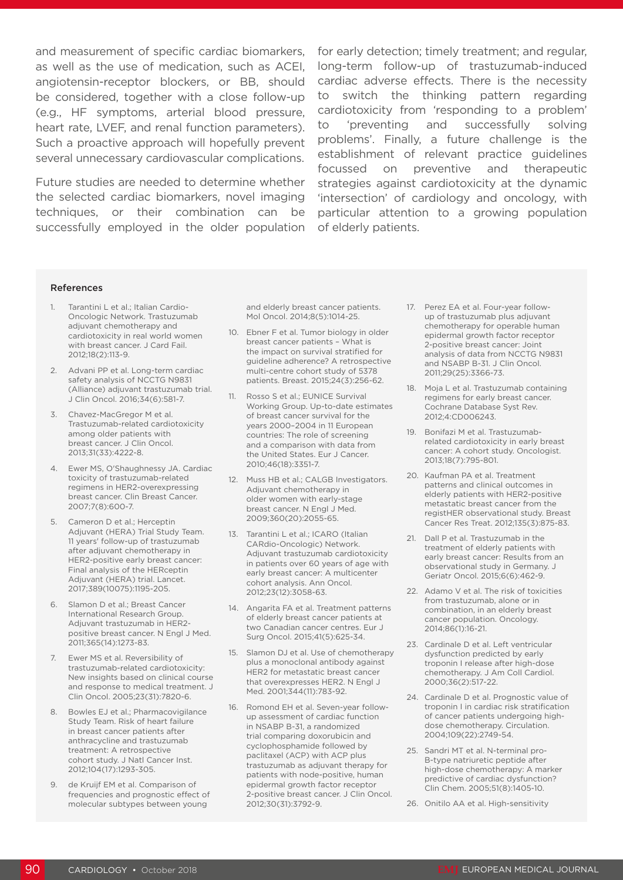as well as the use of medication, such as ACEI, angiotensin-receptor blockers, or BB, should be considered, together with a close follow-up (e.g., HF symptoms, arterial blood pressure, heart rate, LVEF, and renal function parameters). Such a proactive approach will hopefully prevent several unnecessary cardiovascular complications.

Future studies are needed to determine whether the selected cardiac biomarkers, novel imaging techniques, or their combination can be successfully employed in the older population

and measurement of specific cardiac biomarkers, for early detection; timely treatment; and regular, long-term follow-up of trastuzumab-induced cardiac adverse effects. There is the necessity to switch the thinking pattern regarding cardiotoxicity from 'responding to a problem' to 'preventing and successfully solving problems'. Finally, a future challenge is the establishment of relevant practice guidelines focussed on preventive and therapeutic strategies against cardiotoxicity at the dynamic 'intersection' of cardiology and oncology, with particular attention to a growing population of elderly patients.

#### References

- 1. Tarantini L et al.; Italian Cardio-Oncologic Network. Trastuzumab adjuvant chemotherapy and cardiotoxicity in real world women with breast cancer. J Card Fail. 2012;18(2):113-9.
- 2. Advani PP et al. Long-term cardiac safety analysis of NCCTG N9831 (Alliance) adjuvant trastuzumab trial. J Clin Oncol. 2016;34(6):581-7.
- 3. Chavez-MacGregor M et al. Trastuzumab-related cardiotoxicity among older patients with breast cancer. J Clin Oncol. 2013;31(33):4222-8.
- 4. Ewer MS, O'Shaughnessy JA. Cardiac toxicity of trastuzumab-related regimens in HER2-overexpressing breast cancer. Clin Breast Cancer. 2007;7(8):600-7.
- 5. Cameron D et al.; Herceptin Adjuvant (HERA) Trial Study Team. 11 years' follow-up of trastuzumab after adjuvant chemotherapy in HER2-positive early breast cancer: Final analysis of the HERceptin Adjuvant (HERA) trial. Lancet. 2017;389(10075):1195-205.
- 6. Slamon D et al.; Breast Cancer International Research Group. Adjuvant trastuzumab in HER2 positive breast cancer. N Engl J Med. 2011;365(14):1273-83.
- 7. Ewer MS et al. Reversibility of trastuzumab-related cardiotoxicity: New insights based on clinical course and response to medical treatment. J Clin Oncol. 2005;23(31):7820-6.
- 8. Bowles EJ et al.; Pharmacovigilance Study Team. Risk of heart failure in breast cancer patients after anthracycline and trastuzumab treatment: A retrospective cohort study. J Natl Cancer Inst. 2012;104(17):1293-305.
- 9. de Kruijf EM et al. Comparison of frequencies and prognostic effect of molecular subtypes between young

and elderly breast cancer patients. Mol Oncol. 2014;8(5):1014-25.

- 10. Ebner F et al. Tumor biology in older breast cancer patients – What is the impact on survival stratified for guideline adherence? A retrospective multi-centre cohort study of 5378 patients. Breast. 2015;24(3):256-62.
- 11. Rosso S et al.; EUNICE Survival Working Group. Up-to-date estimates of breast cancer survival for the years 2000–2004 in 11 European countries: The role of screening and a comparison with data from the United States. Eur J Cancer. 2010;46(18):3351-7.
- 12. Muss HB et al.; CALGB Investigators. Adjuvant chemotherapy in older women with early-stage breast cancer. N Engl J Med. 2009;360(20):2055-65.
- 13. Tarantini L et al.; ICARO (Italian CARdio-Oncologic) Network. Adjuvant trastuzumab cardiotoxicity in patients over 60 years of age with early breast cancer: A multicenter cohort analysis. Ann Oncol. 2012;23(12):3058-63.
- 14. Angarita FA et al. Treatment patterns of elderly breast cancer patients at two Canadian cancer centres. Eur J Surg Oncol. 2015;41(5):625-34.
- 15. Slamon DJ et al. Use of chemotherapy plus a monoclonal antibody against HER2 for metastatic breast cancer that overexpresses HER2. N Engl J Med. 2001;344(11):783-92.
- 16. Romond EH et al. Seven-year followup assessment of cardiac function in NSABP B-31, a randomized trial comparing doxorubicin and cyclophosphamide followed by paclitaxel (ACP) with ACP plus trastuzumab as adjuvant therapy for patients with node-positive, human epidermal growth factor receptor 2-positive breast cancer. J Clin Oncol. 2012;30(31):3792-9.
- 17. Perez EA et al. Four-year followup of trastuzumab plus adjuvant chemotherapy for operable human epidermal growth factor receptor 2-positive breast cancer: Joint analysis of data from NCCTG N9831 and NSABP B-31. J Clin Oncol. 2011;29(25):3366-73.
- 18. Moja L et al. Trastuzumab containing regimens for early breast cancer. Cochrane Database Syst Rev. 2012;4:CD006243.
- 19. Bonifazi M et al. Trastuzumabrelated cardiotoxicity in early breast cancer: A cohort study. Oncologist. 2013;18(7):795-801.
- 20. Kaufman PA et al. Treatment patterns and clinical outcomes in elderly patients with HER2-positive metastatic breast cancer from the registHER observational study. Breast Cancer Res Treat. 2012;135(3):875-83.
- 21. Dall P et al. Trastuzumab in the treatment of elderly patients with early breast cancer: Results from an observational study in Germany. J Geriatr Oncol. 2015;6(6):462-9.
- 22. Adamo V et al. The risk of toxicities from trastuzumab, alone or in combination, in an elderly breast cancer population. Oncology. 2014;86(1):16-21.
- 23. Cardinale D et al. Left ventricular dysfunction predicted by early troponin I release after high-dose chemotherapy. J Am Coll Cardiol. 2000;36(2):517-22.
- 24. Cardinale D et al. Prognostic value of troponin I in cardiac risk stratification of cancer patients undergoing highdose chemotherapy. Circulation. 2004;109(22):2749-54.
- 25. Sandri MT et al. N-terminal pro-B-type natriuretic peptide after high-dose chemotherapy: A marker predictive of cardiac dysfunction? Clin Chem. 2005;51(8):1405-10.
- 26. Onitilo AA et al. High-sensitivity